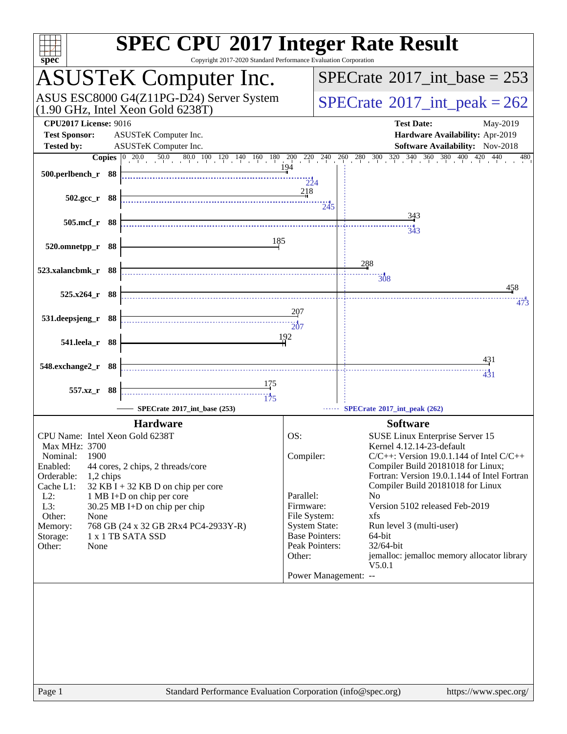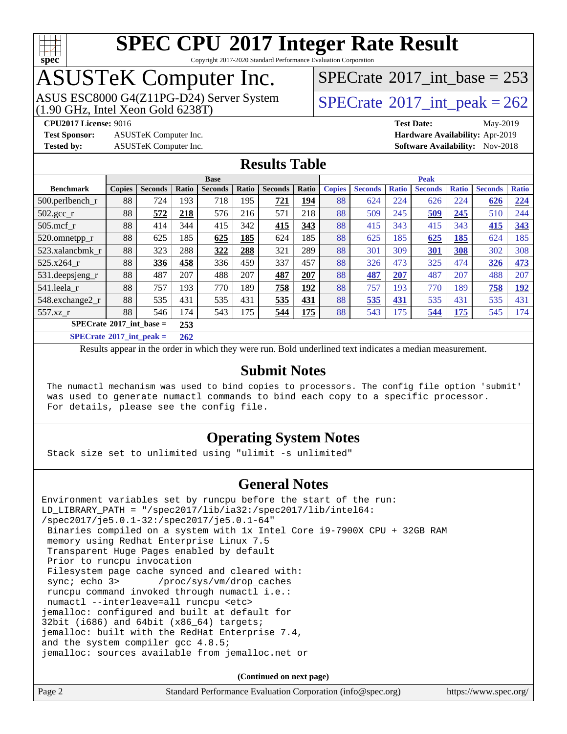

Copyright 2017-2020 Standard Performance Evaluation Corporation

# ASUSTeK Computer Inc.<br>ASUS ESC8000 G4(Z11PG-D24) Server System

(1.90 GHz, Intel Xeon Gold 6238T)

 $SPECTate$ <sup>®</sup>[2017\\_int\\_base =](http://www.spec.org/auto/cpu2017/Docs/result-fields.html#SPECrate2017intbase) 253

**[CPU2017 License:](http://www.spec.org/auto/cpu2017/Docs/result-fields.html#CPU2017License)** 9016 **[Test Date:](http://www.spec.org/auto/cpu2017/Docs/result-fields.html#TestDate)** May-2019

**[Test Sponsor:](http://www.spec.org/auto/cpu2017/Docs/result-fields.html#TestSponsor)** ASUSTeK Computer Inc. **[Hardware Availability:](http://www.spec.org/auto/cpu2017/Docs/result-fields.html#HardwareAvailability)** Apr-2019

 $SPECTate<sup>®</sup>2017_int_ppeak = 262$ 

**[Tested by:](http://www.spec.org/auto/cpu2017/Docs/result-fields.html#Testedby)** ASUSTeK Computer Inc. **[Software Availability:](http://www.spec.org/auto/cpu2017/Docs/result-fields.html#SoftwareAvailability)** Nov-2018

### **[Results Table](http://www.spec.org/auto/cpu2017/Docs/result-fields.html#ResultsTable)**

|                                       | <b>Base</b>   |                |                 |                |       | <b>Peak</b>    |            |               |                |              |                |              |                |              |
|---------------------------------------|---------------|----------------|-----------------|----------------|-------|----------------|------------|---------------|----------------|--------------|----------------|--------------|----------------|--------------|
| <b>Benchmark</b>                      | <b>Copies</b> | <b>Seconds</b> | Ratio           | <b>Seconds</b> | Ratio | <b>Seconds</b> | Ratio      | <b>Copies</b> | <b>Seconds</b> | <b>Ratio</b> | <b>Seconds</b> | <b>Ratio</b> | <b>Seconds</b> | <b>Ratio</b> |
| 500.perlbench_r                       | 88            | 724            | 193             | 718            | 195   | 721            | <u>194</u> | 88            | 624            | 224          | 626            | 224          | 626            | 224          |
| $502.\text{gcc\_r}$                   | 88            | 572            | 218             | 576            | 216   | 571            | 218        | 88            | 509            | 245          | 509            | 245          | 510            | 244          |
| $505$ .mcf r                          | 88            | 414            | 344             | 415            | 342   | 415            | 343        | 88            | 415            | 343          | 415            | 343          | 415            | 343          |
| 520.omnetpp_r                         | 88            | 625            | 185             | 625            | 185   | 624            | 185        | 88            | 625            | 185          | 625            | 185          | 624            | 185          |
| 523.xalancbmk r                       | 88            | 323            | 288             | 322            | 288   | 321            | 289        | 88            | 301            | 309          | 301            | 308          | 302            | 308          |
| 525.x264 r                            | 88            | 336            | 458             | 336            | 459   | 337            | 457        | 88            | 326            | 473          | 325            | 474          | 326            | 473          |
| 531.deepsjeng_r                       | 88            | 487            | 207             | 488            | 207   | 487            | 207        | 88            | 487            | 207          | 487            | 207          | 488            | 207          |
| 541.leela r                           | 88            | 757            | 193             | 770            | 189   | 758            | 192        | 88            | 757            | 193          | 770            | 189          | 758            | <u> 192</u>  |
| 548.exchange2_r                       | 88            | 535            | 431             | 535            | 431   | 535            | 431        | 88            | 535            | 431          | 535            | 431          | 535            | 431          |
| 557.xz r                              | 88            | 546            | 174             | 543            | 175   | 544            | 175        | 88            | 543            | 175          | 544            | <u>175</u>   | 545            | 174          |
| $SPECrate^{\circ}2017$ int base =     |               |                | 253             |                |       |                |            |               |                |              |                |              |                |              |
| $CDFC_{\text{mot}}@2017$ int nook $-$ |               |                | $\overline{20}$ |                |       |                |            |               |                |              |                |              |                |              |

**[SPECrate](http://www.spec.org/auto/cpu2017/Docs/result-fields.html#SPECrate2017intpeak)[2017\\_int\\_peak =](http://www.spec.org/auto/cpu2017/Docs/result-fields.html#SPECrate2017intpeak) 262**

Results appear in the [order in which they were run](http://www.spec.org/auto/cpu2017/Docs/result-fields.html#RunOrder). Bold underlined text [indicates a median measurement](http://www.spec.org/auto/cpu2017/Docs/result-fields.html#Median).

### **[Submit Notes](http://www.spec.org/auto/cpu2017/Docs/result-fields.html#SubmitNotes)**

 The numactl mechanism was used to bind copies to processors. The config file option 'submit' was used to generate numactl commands to bind each copy to a specific processor. For details, please see the config file.

### **[Operating System Notes](http://www.spec.org/auto/cpu2017/Docs/result-fields.html#OperatingSystemNotes)**

Stack size set to unlimited using "ulimit -s unlimited"

### **[General Notes](http://www.spec.org/auto/cpu2017/Docs/result-fields.html#GeneralNotes)**

Environment variables set by runcpu before the start of the run: LD\_LIBRARY\_PATH = "/spec2017/lib/ia32:/spec2017/lib/intel64: /spec2017/je5.0.1-32:/spec2017/je5.0.1-64" Binaries compiled on a system with 1x Intel Core i9-7900X CPU + 32GB RAM memory using Redhat Enterprise Linux 7.5 Transparent Huge Pages enabled by default Prior to runcpu invocation Filesystem page cache synced and cleared with: sync; echo 3> /proc/sys/vm/drop\_caches runcpu command invoked through numactl i.e.: numactl --interleave=all runcpu <etc> jemalloc: configured and built at default for 32bit (i686) and 64bit (x86\_64) targets; jemalloc: built with the RedHat Enterprise 7.4, and the system compiler gcc 4.8.5; jemalloc: sources available from jemalloc.net or

**(Continued on next page)**

| Page 2 | Standard Performance Evaluation Corporation (info@spec.org) | https://www.spec.org/ |
|--------|-------------------------------------------------------------|-----------------------|
|--------|-------------------------------------------------------------|-----------------------|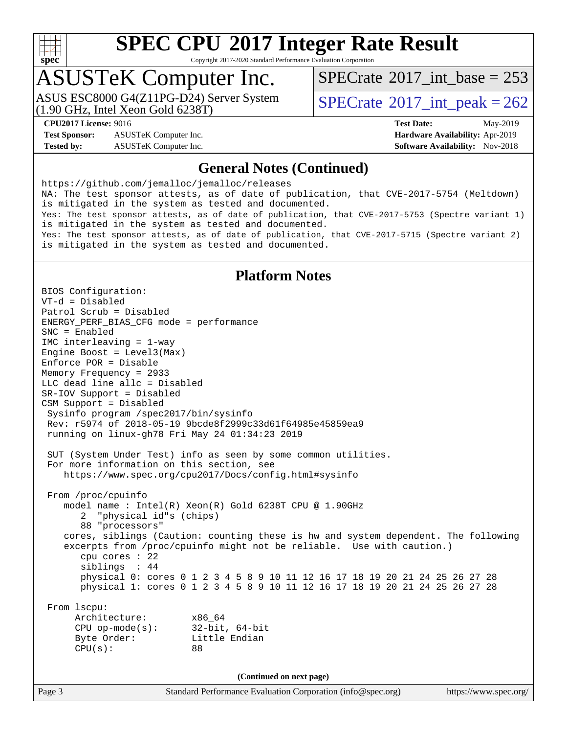

Copyright 2017-2020 Standard Performance Evaluation Corporation

## ASUSTeK Computer Inc.

(1.90 GHz, Intel Xeon Gold 6238T) ASUS ESC8000 G4(Z11PG-D24) Server System  $SPECrate^{\circ}2017$  $SPECrate^{\circ}2017$ \_int\_peak = 262

 $SPECTate$ <sup>®</sup>[2017\\_int\\_base =](http://www.spec.org/auto/cpu2017/Docs/result-fields.html#SPECrate2017intbase) 253

**[Test Sponsor:](http://www.spec.org/auto/cpu2017/Docs/result-fields.html#TestSponsor)** ASUSTeK Computer Inc. **[Hardware Availability:](http://www.spec.org/auto/cpu2017/Docs/result-fields.html#HardwareAvailability)** Apr-2019 **[Tested by:](http://www.spec.org/auto/cpu2017/Docs/result-fields.html#Testedby)** ASUSTeK Computer Inc. **[Software Availability:](http://www.spec.org/auto/cpu2017/Docs/result-fields.html#SoftwareAvailability)** Nov-2018

**[CPU2017 License:](http://www.spec.org/auto/cpu2017/Docs/result-fields.html#CPU2017License)** 9016 **[Test Date:](http://www.spec.org/auto/cpu2017/Docs/result-fields.html#TestDate)** May-2019

### **[General Notes \(Continued\)](http://www.spec.org/auto/cpu2017/Docs/result-fields.html#GeneralNotes)**

<https://github.com/jemalloc/jemalloc/releases> NA: The test sponsor attests, as of date of publication, that CVE-2017-5754 (Meltdown) is mitigated in the system as tested and documented. Yes: The test sponsor attests, as of date of publication, that CVE-2017-5753 (Spectre variant 1) is mitigated in the system as tested and documented. Yes: The test sponsor attests, as of date of publication, that CVE-2017-5715 (Spectre variant 2) is mitigated in the system as tested and documented.

### **[Platform Notes](http://www.spec.org/auto/cpu2017/Docs/result-fields.html#PlatformNotes)**

BIOS Configuration: VT-d = Disabled Patrol Scrub = Disabled ENERGY\_PERF\_BIAS\_CFG mode = performance SNC = Enabled IMC interleaving = 1-way Engine Boost = Level3(Max) Enforce POR = Disable Memory Frequency = 2933 LLC dead line allc = Disabled SR-IOV Support = Disabled CSM Support = Disabled Sysinfo program /spec2017/bin/sysinfo Rev: r5974 of 2018-05-19 9bcde8f2999c33d61f64985e45859ea9 running on linux-gh78 Fri May 24 01:34:23 2019 SUT (System Under Test) info as seen by some common utilities. For more information on this section, see <https://www.spec.org/cpu2017/Docs/config.html#sysinfo> From /proc/cpuinfo model name : Intel(R) Xeon(R) Gold 6238T CPU @ 1.90GHz 2 "physical id"s (chips) 88 "processors" cores, siblings (Caution: counting these is hw and system dependent. The following excerpts from /proc/cpuinfo might not be reliable. Use with caution.) cpu cores : 22 siblings : 44 physical 0: cores 0 1 2 3 4 5 8 9 10 11 12 16 17 18 19 20 21 24 25 26 27 28 physical 1: cores 0 1 2 3 4 5 8 9 10 11 12 16 17 18 19 20 21 24 25 26 27 28 From lscpu: Architecture: x86\_64 CPU op-mode(s): 32-bit, 64-bit Byte Order: Little Endian CPU(s): 88 **(Continued on next page)**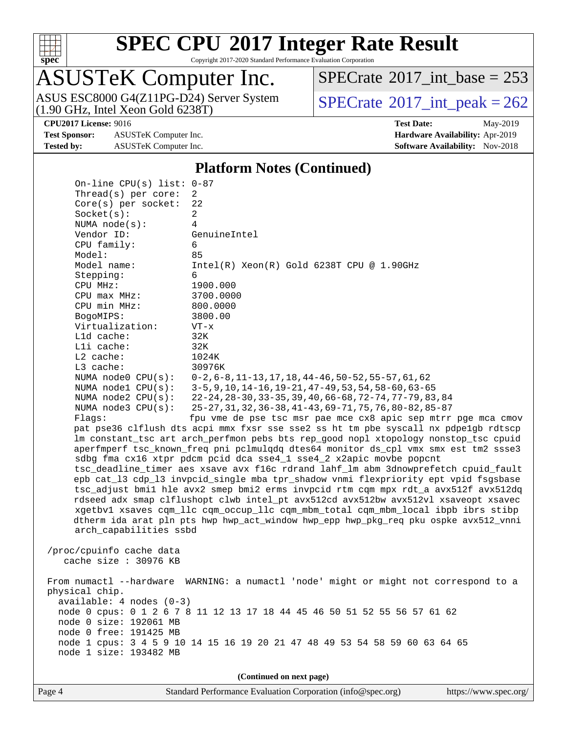

Copyright 2017-2020 Standard Performance Evaluation Corporation

# ASUSTeK Computer Inc.

(1.90 GHz, Intel Xeon Gold 6238T) ASUS ESC8000 G4(Z11PG-D24) Server System  $SPECrate^{\circ}2017$  $SPECrate^{\circ}2017$ \_int\_peak = 262

 $SPECTate$ <sup>®</sup>[2017\\_int\\_base =](http://www.spec.org/auto/cpu2017/Docs/result-fields.html#SPECrate2017intbase) 253

**[Test Sponsor:](http://www.spec.org/auto/cpu2017/Docs/result-fields.html#TestSponsor)** ASUSTeK Computer Inc. **[Hardware Availability:](http://www.spec.org/auto/cpu2017/Docs/result-fields.html#HardwareAvailability)** Apr-2019 **[Tested by:](http://www.spec.org/auto/cpu2017/Docs/result-fields.html#Testedby)** ASUSTeK Computer Inc. **[Software Availability:](http://www.spec.org/auto/cpu2017/Docs/result-fields.html#SoftwareAvailability)** Nov-2018

**[CPU2017 License:](http://www.spec.org/auto/cpu2017/Docs/result-fields.html#CPU2017License)** 9016 **[Test Date:](http://www.spec.org/auto/cpu2017/Docs/result-fields.html#TestDate)** May-2019

### **[Platform Notes \(Continued\)](http://www.spec.org/auto/cpu2017/Docs/result-fields.html#PlatformNotes)**

 On-line CPU(s) list: 0-87 Thread(s) per core: 2 Core(s) per socket: 22 Socket(s): 2 NUMA node(s): 4 Vendor ID: GenuineIntel CPU family: 6 Model: 85 Model name: Intel(R) Xeon(R) Gold 6238T CPU @ 1.90GHz Stepping: 6 CPU MHz: 1900.000 CPU max MHz: 3700.0000 CPU min MHz: 800.0000 BogoMIPS: 3800.00 Virtualization: VT-x L1d cache: 32K L1i cache: 32K L2 cache: 1024K L3 cache: 30976K NUMA node0 CPU(s): 0-2,6-8,11-13,17,18,44-46,50-52,55-57,61,62 NUMA node1 CPU(s): 3-5,9,10,14-16,19-21,47-49,53,54,58-60,63-65 NUMA node2 CPU(s): 22-24,28-30,33-35,39,40,66-68,72-74,77-79,83,84 NUMA node3 CPU(s): 25-27,31,32,36-38,41-43,69-71,75,76,80-82,85-87 Flags: fpu vme de pse tsc msr pae mce cx8 apic sep mtrr pge mca cmov pat pse36 clflush dts acpi mmx fxsr sse sse2 ss ht tm pbe syscall nx pdpe1gb rdtscp lm constant\_tsc art arch\_perfmon pebs bts rep\_good nopl xtopology nonstop\_tsc cpuid aperfmperf tsc\_known\_freq pni pclmulqdq dtes64 monitor ds\_cpl vmx smx est tm2 ssse3 sdbg fma cx16 xtpr pdcm pcid dca sse4\_1 sse4\_2 x2apic movbe popcnt tsc\_deadline\_timer aes xsave avx f16c rdrand lahf\_lm abm 3dnowprefetch cpuid\_fault epb cat\_l3 cdp\_l3 invpcid\_single mba tpr\_shadow vnmi flexpriority ept vpid fsgsbase tsc\_adjust bmi1 hle avx2 smep bmi2 erms invpcid rtm cqm mpx rdt\_a avx512f avx512dq rdseed adx smap clflushopt clwb intel\_pt avx512cd avx512bw avx512vl xsaveopt xsavec xgetbv1 xsaves cqm\_llc cqm\_occup\_llc cqm\_mbm\_total cqm\_mbm\_local ibpb ibrs stibp dtherm ida arat pln pts hwp hwp\_act\_window hwp\_epp hwp\_pkg\_req pku ospke avx512\_vnni arch\_capabilities ssbd /proc/cpuinfo cache data cache size : 30976 KB From numactl --hardware WARNING: a numactl 'node' might or might not correspond to a physical chip. available: 4 nodes (0-3) node 0 cpus: 0 1 2 6 7 8 11 12 13 17 18 44 45 46 50 51 52 55 56 57 61 62 node 0 size: 192061 MB node 0 free: 191425 MB node 1 cpus: 3 4 5 9 10 14 15 16 19 20 21 47 48 49 53 54 58 59 60 63 64 65 node 1 size: 193482 MB **(Continued on next page)**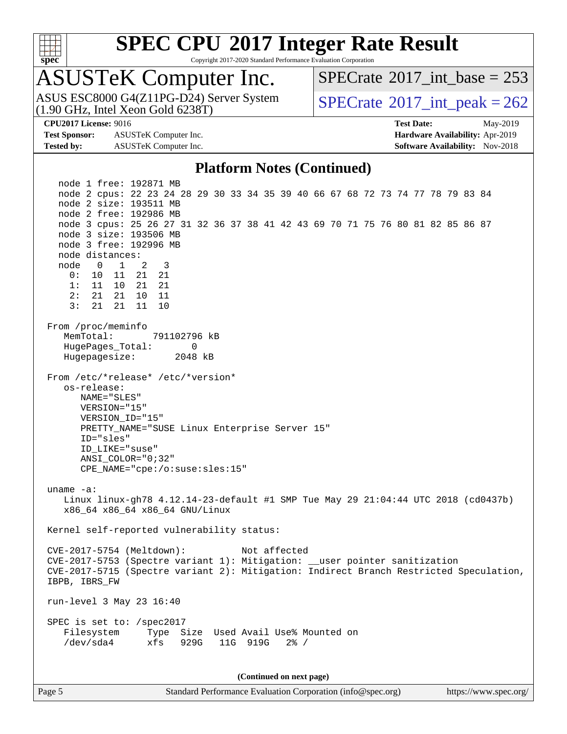

Copyright 2017-2020 Standard Performance Evaluation Corporation

# ASUSTeK Computer Inc.<br>ASUS ESC8000 G4(Z11PG-D24) Server System

(1.90 GHz, Intel Xeon Gold 6238T)

 $SPECTate$ <sup>®</sup>[2017\\_int\\_base =](http://www.spec.org/auto/cpu2017/Docs/result-fields.html#SPECrate2017intbase) 253

 $SPECTate@2017\_int\_peak = 262$ 

**[Test Sponsor:](http://www.spec.org/auto/cpu2017/Docs/result-fields.html#TestSponsor)** ASUSTeK Computer Inc. **[Hardware Availability:](http://www.spec.org/auto/cpu2017/Docs/result-fields.html#HardwareAvailability)** Apr-2019 **[Tested by:](http://www.spec.org/auto/cpu2017/Docs/result-fields.html#Testedby)** ASUSTeK Computer Inc. **[Software Availability:](http://www.spec.org/auto/cpu2017/Docs/result-fields.html#SoftwareAvailability)** Nov-2018

**[CPU2017 License:](http://www.spec.org/auto/cpu2017/Docs/result-fields.html#CPU2017License)** 9016 **[Test Date:](http://www.spec.org/auto/cpu2017/Docs/result-fields.html#TestDate)** May-2019

### **[Platform Notes \(Continued\)](http://www.spec.org/auto/cpu2017/Docs/result-fields.html#PlatformNotes)**

 node 1 free: 192871 MB node 2 cpus: 22 23 24 28 29 30 33 34 35 39 40 66 67 68 72 73 74 77 78 79 83 84 node 2 size: 193511 MB node 2 free: 192986 MB node 3 cpus: 25 26 27 31 32 36 37 38 41 42 43 69 70 71 75 76 80 81 82 85 86 87 node 3 size: 193506 MB node 3 free: 192996 MB node distances: node 0 1 2 3 0: 10 11 21 21 1: 11 10 21 21 2: 21 21 10 11 3: 21 21 11 10 From /proc/meminfo MemTotal: 791102796 kB HugePages\_Total: 0 Hugepagesize: 2048 kB From /etc/\*release\* /etc/\*version\* os-release: NAME="SLES" VERSION="15" VERSION\_ID="15" PRETTY\_NAME="SUSE Linux Enterprise Server 15" ID="sles" ID\_LIKE="suse" ANSI\_COLOR="0;32" CPE\_NAME="cpe:/o:suse:sles:15" uname -a: Linux linux-gh78 4.12.14-23-default #1 SMP Tue May 29 21:04:44 UTC 2018 (cd0437b) x86\_64 x86\_64 x86\_64 GNU/Linux Kernel self-reported vulnerability status: CVE-2017-5754 (Meltdown): Not affected CVE-2017-5753 (Spectre variant 1): Mitigation: \_\_user pointer sanitization CVE-2017-5715 (Spectre variant 2): Mitigation: Indirect Branch Restricted Speculation, IBPB, IBRS\_FW run-level 3 May 23 16:40 SPEC is set to: /spec2017 Filesystem Type Size Used Avail Use% Mounted on /dev/sda4 xfs 929G 11G 919G 2% /

**(Continued on next page)**

Page 5 Standard Performance Evaluation Corporation [\(info@spec.org\)](mailto:info@spec.org) <https://www.spec.org/>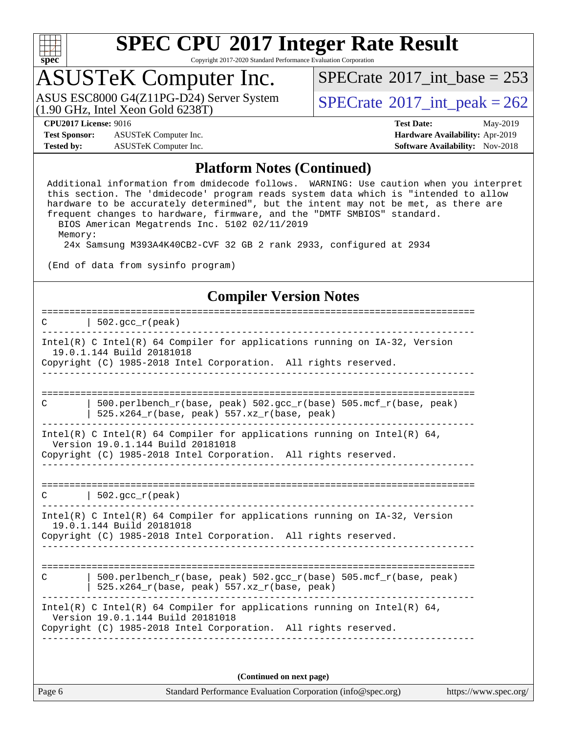

Copyright 2017-2020 Standard Performance Evaluation Corporation

## ASUSTeK Computer Inc.

(1.90 GHz, Intel Xeon Gold 6238T) ASUS ESC8000 G4(Z11PG-D24) Server System  $\vert$  [SPECrate](http://www.spec.org/auto/cpu2017/Docs/result-fields.html#SPECrate2017intpeak)®[2017\\_int\\_peak = 2](http://www.spec.org/auto/cpu2017/Docs/result-fields.html#SPECrate2017intpeak)62

 $SPECTate$ <sup>®</sup>[2017\\_int\\_base =](http://www.spec.org/auto/cpu2017/Docs/result-fields.html#SPECrate2017intbase) 253

**[Test Sponsor:](http://www.spec.org/auto/cpu2017/Docs/result-fields.html#TestSponsor)** ASUSTeK Computer Inc. **[Hardware Availability:](http://www.spec.org/auto/cpu2017/Docs/result-fields.html#HardwareAvailability)** Apr-2019 **[Tested by:](http://www.spec.org/auto/cpu2017/Docs/result-fields.html#Testedby)** ASUSTeK Computer Inc. **[Software Availability:](http://www.spec.org/auto/cpu2017/Docs/result-fields.html#SoftwareAvailability)** Nov-2018

**[CPU2017 License:](http://www.spec.org/auto/cpu2017/Docs/result-fields.html#CPU2017License)** 9016 **[Test Date:](http://www.spec.org/auto/cpu2017/Docs/result-fields.html#TestDate)** May-2019

### **[Platform Notes \(Continued\)](http://www.spec.org/auto/cpu2017/Docs/result-fields.html#PlatformNotes)**

 Additional information from dmidecode follows. WARNING: Use caution when you interpret this section. The 'dmidecode' program reads system data which is "intended to allow hardware to be accurately determined", but the intent may not be met, as there are frequent changes to hardware, firmware, and the "DMTF SMBIOS" standard. BIOS American Megatrends Inc. 5102 02/11/2019 Memory:

24x Samsung M393A4K40CB2-CVF 32 GB 2 rank 2933, configured at 2934

(End of data from sysinfo program)

### **[Compiler Version Notes](http://www.spec.org/auto/cpu2017/Docs/result-fields.html#CompilerVersionNotes)**

| $\vert$ 502.gcc_r(peak)                                                                                                                                                          |
|----------------------------------------------------------------------------------------------------------------------------------------------------------------------------------|
| Intel(R) C Intel(R) 64 Compiler for applications running on IA-32, Version<br>19.0.1.144 Build 20181018<br>Copyright (C) 1985-2018 Intel Corporation. All rights reserved.       |
| 500.perlbench r(base, peak) 502.gcc r(base) 505.mcf r(base, peak)<br>C<br>525.x264_r(base, peak) 557.xz_r(base, peak)                                                            |
| Intel(R) C Intel(R) 64 Compiler for applications running on Intel(R) 64,<br>Version 19.0.1.144 Build 20181018<br>Copyright (C) 1985-2018 Intel Corporation. All rights reserved. |
| $C$   502.gcc_r(peak)                                                                                                                                                            |
| Intel(R) C Intel(R) 64 Compiler for applications running on $IA-32$ , Version<br>19.0.1.144 Build 20181018<br>Copyright (C) 1985-2018 Intel Corporation. All rights reserved.    |
| 500.perlbench_r(base, peak) 502.gcc_r(base) 505.mcf_r(base, peak)<br>C<br>525.x264_r(base, peak) 557.xz_r(base, peak)                                                            |
| Intel(R) C Intel(R) 64 Compiler for applications running on Intel(R) 64,<br>Version 19.0.1.144 Build 20181018<br>Copyright (C) 1985-2018 Intel Corporation. All rights reserved. |
| (Continued on next page)                                                                                                                                                         |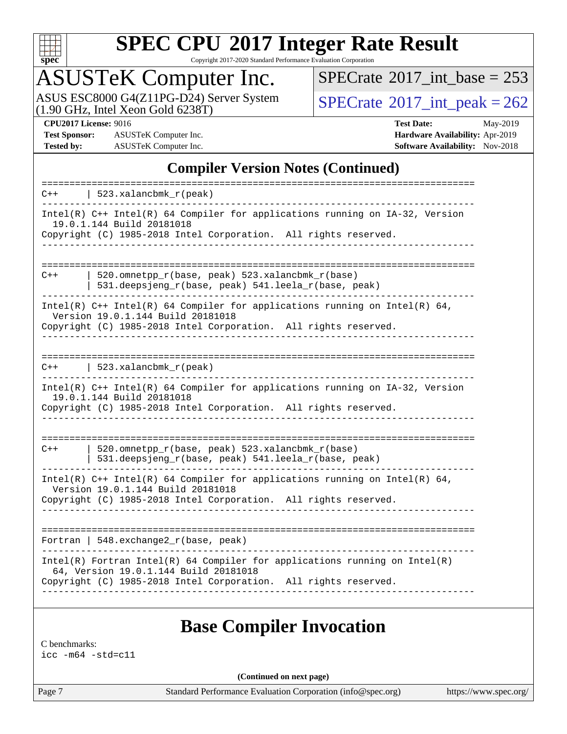

Copyright 2017-2020 Standard Performance Evaluation Corporation

# ASUSTeK Computer Inc.

ASUS ESC8000 G4(Z11PG-D24) Server System  $(1.90 \text{ GHz}, \text{ Intel Xeon Gold } 6238 \text{T})$ 

 $SPECrate$ <sup>®</sup>[2017\\_int\\_base =](http://www.spec.org/auto/cpu2017/Docs/result-fields.html#SPECrate2017intbase) 253

**[Test Sponsor:](http://www.spec.org/auto/cpu2017/Docs/result-fields.html#TestSponsor)** ASUSTeK Computer Inc. **[Hardware Availability:](http://www.spec.org/auto/cpu2017/Docs/result-fields.html#HardwareAvailability)** Apr-2019 **[Tested by:](http://www.spec.org/auto/cpu2017/Docs/result-fields.html#Testedby)** ASUSTeK Computer Inc. **[Software Availability:](http://www.spec.org/auto/cpu2017/Docs/result-fields.html#SoftwareAvailability)** Nov-2018

**[CPU2017 License:](http://www.spec.org/auto/cpu2017/Docs/result-fields.html#CPU2017License)** 9016 **[Test Date:](http://www.spec.org/auto/cpu2017/Docs/result-fields.html#TestDate)** May-2019

### **[Compiler Version Notes \(Continued\)](http://www.spec.org/auto/cpu2017/Docs/result-fields.html#CompilerVersionNotes)**

| 523.xalancbmk_r(peak)<br>$C++$                                                                                                                                                           |  |
|------------------------------------------------------------------------------------------------------------------------------------------------------------------------------------------|--|
| Intel(R) C++ Intel(R) 64 Compiler for applications running on IA-32, Version<br>19.0.1.144 Build 20181018<br>Copyright (C) 1985-2018 Intel Corporation. All rights reserved.             |  |
| ---------------------------<br>-----------------------                                                                                                                                   |  |
| 520.omnetpp $r(base, peak)$ 523.xalancbmk $r(base)$<br>$C++$<br>531.deepsjeng_r(base, peak) 541.leela_r(base, peak)                                                                      |  |
| Intel(R) $C++$ Intel(R) 64 Compiler for applications running on Intel(R) 64,<br>Version 19.0.1.144 Build 20181018<br>Copyright (C) 1985-2018 Intel Corporation. All rights reserved.     |  |
|                                                                                                                                                                                          |  |
| $523. x$ alancbmk_r(peak)<br>$C++$                                                                                                                                                       |  |
| Intel(R) C++ Intel(R) 64 Compiler for applications running on IA-32, Version<br>19.0.1.144 Build 20181018<br>Copyright (C) 1985-2018 Intel Corporation. All rights reserved.             |  |
|                                                                                                                                                                                          |  |
| 520.omnetpp_r(base, peak) 523.xalancbmk_r(base)<br>$C++$<br>531.deepsjeng_r(base, peak) 541.leela_r(base, peak)                                                                          |  |
| Intel(R) $C++$ Intel(R) 64 Compiler for applications running on Intel(R) 64,<br>Version 19.0.1.144 Build 20181018<br>Copyright (C) 1985-2018 Intel Corporation. All rights reserved.     |  |
|                                                                                                                                                                                          |  |
| Fortran   548.exchange2_r(base, peak)                                                                                                                                                    |  |
| $Intel(R)$ Fortran Intel(R) 64 Compiler for applications running on Intel(R)<br>64, Version 19.0.1.144 Build 20181018<br>Copyright (C) 1985-2018 Intel Corporation. All rights reserved. |  |
|                                                                                                                                                                                          |  |

### **[Base Compiler Invocation](http://www.spec.org/auto/cpu2017/Docs/result-fields.html#BaseCompilerInvocation)**

[C benchmarks:](http://www.spec.org/auto/cpu2017/Docs/result-fields.html#Cbenchmarks) [icc -m64 -std=c11](http://www.spec.org/cpu2017/results/res2019q2/cpu2017-20190610-14887.flags.html#user_CCbase_intel_icc_64bit_c11_33ee0cdaae7deeeab2a9725423ba97205ce30f63b9926c2519791662299b76a0318f32ddfffdc46587804de3178b4f9328c46fa7c2b0cd779d7a61945c91cd35)

**(Continued on next page)**

Page 7 Standard Performance Evaluation Corporation [\(info@spec.org\)](mailto:info@spec.org) <https://www.spec.org/>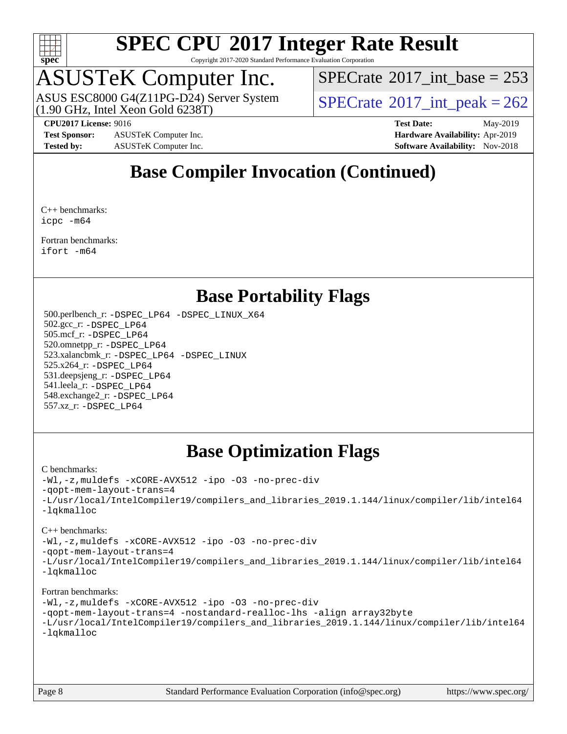

Copyright 2017-2020 Standard Performance Evaluation Corporation

# ASUSTeK Computer Inc.<br>ASUS ESC8000 G4(Z11PG-D24) Server System

(1.90 GHz, Intel Xeon Gold 6238T)

 $SPECTate$ <sup>®</sup>[2017\\_int\\_base =](http://www.spec.org/auto/cpu2017/Docs/result-fields.html#SPECrate2017intbase) 253

 $SPECTate@2017\_int\_peak = 262$ 

**[Test Sponsor:](http://www.spec.org/auto/cpu2017/Docs/result-fields.html#TestSponsor)** ASUSTeK Computer Inc. **[Hardware Availability:](http://www.spec.org/auto/cpu2017/Docs/result-fields.html#HardwareAvailability)** Apr-2019 **[Tested by:](http://www.spec.org/auto/cpu2017/Docs/result-fields.html#Testedby)** ASUSTeK Computer Inc. **[Software Availability:](http://www.spec.org/auto/cpu2017/Docs/result-fields.html#SoftwareAvailability)** Nov-2018

**[CPU2017 License:](http://www.spec.org/auto/cpu2017/Docs/result-fields.html#CPU2017License)** 9016 **[Test Date:](http://www.spec.org/auto/cpu2017/Docs/result-fields.html#TestDate)** May-2019

### **[Base Compiler Invocation \(Continued\)](http://www.spec.org/auto/cpu2017/Docs/result-fields.html#BaseCompilerInvocation)**

[C++ benchmarks](http://www.spec.org/auto/cpu2017/Docs/result-fields.html#CXXbenchmarks): [icpc -m64](http://www.spec.org/cpu2017/results/res2019q2/cpu2017-20190610-14887.flags.html#user_CXXbase_intel_icpc_64bit_4ecb2543ae3f1412ef961e0650ca070fec7b7afdcd6ed48761b84423119d1bf6bdf5cad15b44d48e7256388bc77273b966e5eb805aefd121eb22e9299b2ec9d9)

[Fortran benchmarks](http://www.spec.org/auto/cpu2017/Docs/result-fields.html#Fortranbenchmarks): [ifort -m64](http://www.spec.org/cpu2017/results/res2019q2/cpu2017-20190610-14887.flags.html#user_FCbase_intel_ifort_64bit_24f2bb282fbaeffd6157abe4f878425411749daecae9a33200eee2bee2fe76f3b89351d69a8130dd5949958ce389cf37ff59a95e7a40d588e8d3a57e0c3fd751)

### **[Base Portability Flags](http://www.spec.org/auto/cpu2017/Docs/result-fields.html#BasePortabilityFlags)**

 500.perlbench\_r: [-DSPEC\\_LP64](http://www.spec.org/cpu2017/results/res2019q2/cpu2017-20190610-14887.flags.html#b500.perlbench_r_basePORTABILITY_DSPEC_LP64) [-DSPEC\\_LINUX\\_X64](http://www.spec.org/cpu2017/results/res2019q2/cpu2017-20190610-14887.flags.html#b500.perlbench_r_baseCPORTABILITY_DSPEC_LINUX_X64) 502.gcc\_r: [-DSPEC\\_LP64](http://www.spec.org/cpu2017/results/res2019q2/cpu2017-20190610-14887.flags.html#suite_basePORTABILITY502_gcc_r_DSPEC_LP64) 505.mcf\_r: [-DSPEC\\_LP64](http://www.spec.org/cpu2017/results/res2019q2/cpu2017-20190610-14887.flags.html#suite_basePORTABILITY505_mcf_r_DSPEC_LP64) 520.omnetpp\_r: [-DSPEC\\_LP64](http://www.spec.org/cpu2017/results/res2019q2/cpu2017-20190610-14887.flags.html#suite_basePORTABILITY520_omnetpp_r_DSPEC_LP64) 523.xalancbmk\_r: [-DSPEC\\_LP64](http://www.spec.org/cpu2017/results/res2019q2/cpu2017-20190610-14887.flags.html#suite_basePORTABILITY523_xalancbmk_r_DSPEC_LP64) [-DSPEC\\_LINUX](http://www.spec.org/cpu2017/results/res2019q2/cpu2017-20190610-14887.flags.html#b523.xalancbmk_r_baseCXXPORTABILITY_DSPEC_LINUX) 525.x264\_r: [-DSPEC\\_LP64](http://www.spec.org/cpu2017/results/res2019q2/cpu2017-20190610-14887.flags.html#suite_basePORTABILITY525_x264_r_DSPEC_LP64) 531.deepsjeng\_r: [-DSPEC\\_LP64](http://www.spec.org/cpu2017/results/res2019q2/cpu2017-20190610-14887.flags.html#suite_basePORTABILITY531_deepsjeng_r_DSPEC_LP64) 541.leela\_r: [-DSPEC\\_LP64](http://www.spec.org/cpu2017/results/res2019q2/cpu2017-20190610-14887.flags.html#suite_basePORTABILITY541_leela_r_DSPEC_LP64) 548.exchange2\_r: [-DSPEC\\_LP64](http://www.spec.org/cpu2017/results/res2019q2/cpu2017-20190610-14887.flags.html#suite_basePORTABILITY548_exchange2_r_DSPEC_LP64) 557.xz\_r: [-DSPEC\\_LP64](http://www.spec.org/cpu2017/results/res2019q2/cpu2017-20190610-14887.flags.html#suite_basePORTABILITY557_xz_r_DSPEC_LP64)

### **[Base Optimization Flags](http://www.spec.org/auto/cpu2017/Docs/result-fields.html#BaseOptimizationFlags)**

### [C benchmarks](http://www.spec.org/auto/cpu2017/Docs/result-fields.html#Cbenchmarks):

[-Wl,-z,muldefs](http://www.spec.org/cpu2017/results/res2019q2/cpu2017-20190610-14887.flags.html#user_CCbase_link_force_multiple1_b4cbdb97b34bdee9ceefcfe54f4c8ea74255f0b02a4b23e853cdb0e18eb4525ac79b5a88067c842dd0ee6996c24547a27a4b99331201badda8798ef8a743f577) [-xCORE-AVX512](http://www.spec.org/cpu2017/results/res2019q2/cpu2017-20190610-14887.flags.html#user_CCbase_f-xCORE-AVX512) [-ipo](http://www.spec.org/cpu2017/results/res2019q2/cpu2017-20190610-14887.flags.html#user_CCbase_f-ipo) [-O3](http://www.spec.org/cpu2017/results/res2019q2/cpu2017-20190610-14887.flags.html#user_CCbase_f-O3) [-no-prec-div](http://www.spec.org/cpu2017/results/res2019q2/cpu2017-20190610-14887.flags.html#user_CCbase_f-no-prec-div) [-qopt-mem-layout-trans=4](http://www.spec.org/cpu2017/results/res2019q2/cpu2017-20190610-14887.flags.html#user_CCbase_f-qopt-mem-layout-trans_fa39e755916c150a61361b7846f310bcdf6f04e385ef281cadf3647acec3f0ae266d1a1d22d972a7087a248fd4e6ca390a3634700869573d231a252c784941a8) [-L/usr/local/IntelCompiler19/compilers\\_and\\_libraries\\_2019.1.144/linux/compiler/lib/intel64](http://www.spec.org/cpu2017/results/res2019q2/cpu2017-20190610-14887.flags.html#user_CCbase_qkmalloc_link_f25da0aa8cf9bced0533715046f0c2fbfb1a7191e3e496916672e09b4c388a884c4c7e4862cb529343da2264b43416df65c99fd1ddbf5dd13ae6d3130cf47881) [-lqkmalloc](http://www.spec.org/cpu2017/results/res2019q2/cpu2017-20190610-14887.flags.html#user_CCbase_qkmalloc_link_lib_79a818439969f771c6bc311cfd333c00fc099dad35c030f5aab9dda831713d2015205805422f83de8875488a2991c0a156aaa600e1f9138f8fc37004abc96dc5)

### [C++ benchmarks](http://www.spec.org/auto/cpu2017/Docs/result-fields.html#CXXbenchmarks):

[-Wl,-z,muldefs](http://www.spec.org/cpu2017/results/res2019q2/cpu2017-20190610-14887.flags.html#user_CXXbase_link_force_multiple1_b4cbdb97b34bdee9ceefcfe54f4c8ea74255f0b02a4b23e853cdb0e18eb4525ac79b5a88067c842dd0ee6996c24547a27a4b99331201badda8798ef8a743f577) [-xCORE-AVX512](http://www.spec.org/cpu2017/results/res2019q2/cpu2017-20190610-14887.flags.html#user_CXXbase_f-xCORE-AVX512) [-ipo](http://www.spec.org/cpu2017/results/res2019q2/cpu2017-20190610-14887.flags.html#user_CXXbase_f-ipo) [-O3](http://www.spec.org/cpu2017/results/res2019q2/cpu2017-20190610-14887.flags.html#user_CXXbase_f-O3) [-no-prec-div](http://www.spec.org/cpu2017/results/res2019q2/cpu2017-20190610-14887.flags.html#user_CXXbase_f-no-prec-div)

[-qopt-mem-layout-trans=4](http://www.spec.org/cpu2017/results/res2019q2/cpu2017-20190610-14887.flags.html#user_CXXbase_f-qopt-mem-layout-trans_fa39e755916c150a61361b7846f310bcdf6f04e385ef281cadf3647acec3f0ae266d1a1d22d972a7087a248fd4e6ca390a3634700869573d231a252c784941a8)

[-L/usr/local/IntelCompiler19/compilers\\_and\\_libraries\\_2019.1.144/linux/compiler/lib/intel64](http://www.spec.org/cpu2017/results/res2019q2/cpu2017-20190610-14887.flags.html#user_CXXbase_qkmalloc_link_f25da0aa8cf9bced0533715046f0c2fbfb1a7191e3e496916672e09b4c388a884c4c7e4862cb529343da2264b43416df65c99fd1ddbf5dd13ae6d3130cf47881) [-lqkmalloc](http://www.spec.org/cpu2017/results/res2019q2/cpu2017-20190610-14887.flags.html#user_CXXbase_qkmalloc_link_lib_79a818439969f771c6bc311cfd333c00fc099dad35c030f5aab9dda831713d2015205805422f83de8875488a2991c0a156aaa600e1f9138f8fc37004abc96dc5)

### [Fortran benchmarks](http://www.spec.org/auto/cpu2017/Docs/result-fields.html#Fortranbenchmarks):

```
-Wl,-z,muldefs -xCORE-AVX512 -ipo -O3 -no-prec-div
-qopt-mem-layout-trans=4 -nostandard-realloc-lhs -align array32byte
-L/usr/local/IntelCompiler19/compilers_and_libraries_2019.1.144/linux/compiler/lib/intel64
-lqkmalloc
```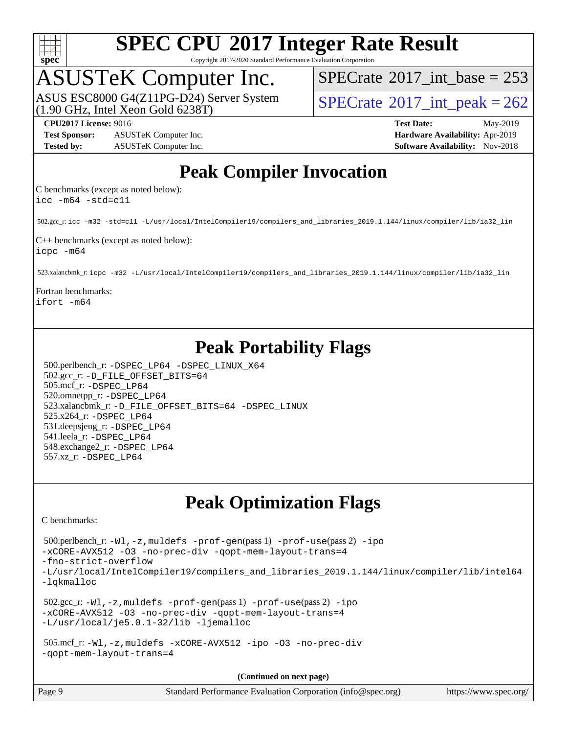

Copyright 2017-2020 Standard Performance Evaluation Corporation

## ASUSTeK Computer Inc.

(1.90 GHz, Intel Xeon Gold 6238T) ASUS ESC8000 G4(Z11PG-D24) Server System  $\text{SPECrate}^{\otimes}2017\_int\_peak = 262$  $\text{SPECrate}^{\otimes}2017\_int\_peak = 262$  $\text{SPECrate}^{\otimes}2017\_int\_peak = 262$ 

 $SPECTate$ <sup>®</sup>[2017\\_int\\_base =](http://www.spec.org/auto/cpu2017/Docs/result-fields.html#SPECrate2017intbase) 253

**[Test Sponsor:](http://www.spec.org/auto/cpu2017/Docs/result-fields.html#TestSponsor)** ASUSTeK Computer Inc. **[Hardware Availability:](http://www.spec.org/auto/cpu2017/Docs/result-fields.html#HardwareAvailability)** Apr-2019 **[Tested by:](http://www.spec.org/auto/cpu2017/Docs/result-fields.html#Testedby)** ASUSTeK Computer Inc. **[Software Availability:](http://www.spec.org/auto/cpu2017/Docs/result-fields.html#SoftwareAvailability)** Nov-2018

**[CPU2017 License:](http://www.spec.org/auto/cpu2017/Docs/result-fields.html#CPU2017License)** 9016 **[Test Date:](http://www.spec.org/auto/cpu2017/Docs/result-fields.html#TestDate)** May-2019

### **[Peak Compiler Invocation](http://www.spec.org/auto/cpu2017/Docs/result-fields.html#PeakCompilerInvocation)**

[C benchmarks \(except as noted below\):](http://www.spec.org/auto/cpu2017/Docs/result-fields.html#Cbenchmarksexceptasnotedbelow) [icc -m64 -std=c11](http://www.spec.org/cpu2017/results/res2019q2/cpu2017-20190610-14887.flags.html#user_CCpeak_intel_icc_64bit_c11_33ee0cdaae7deeeab2a9725423ba97205ce30f63b9926c2519791662299b76a0318f32ddfffdc46587804de3178b4f9328c46fa7c2b0cd779d7a61945c91cd35)

502.gcc\_r: [icc -m32 -std=c11 -L/usr/local/IntelCompiler19/compilers\\_and\\_libraries\\_2019.1.144/linux/compiler/lib/ia32\\_lin](http://www.spec.org/cpu2017/results/res2019q2/cpu2017-20190610-14887.flags.html#user_peakCCLD502_gcc_r_intel_icc_40453ff6bf9521e1d4c2d3e2fb99253a88fa516366d57fe908127cec2d2803e1a519020f7199618d366f5331d17d60a40bdca38a56a807895183dcecb671b0e5)

[C++ benchmarks \(except as noted below\):](http://www.spec.org/auto/cpu2017/Docs/result-fields.html#CXXbenchmarksexceptasnotedbelow) [icpc -m64](http://www.spec.org/cpu2017/results/res2019q2/cpu2017-20190610-14887.flags.html#user_CXXpeak_intel_icpc_64bit_4ecb2543ae3f1412ef961e0650ca070fec7b7afdcd6ed48761b84423119d1bf6bdf5cad15b44d48e7256388bc77273b966e5eb805aefd121eb22e9299b2ec9d9)

523.xalancbmk\_r: [icpc -m32 -L/usr/local/IntelCompiler19/compilers\\_and\\_libraries\\_2019.1.144/linux/compiler/lib/ia32\\_lin](http://www.spec.org/cpu2017/results/res2019q2/cpu2017-20190610-14887.flags.html#user_peakCXXLD523_xalancbmk_r_intel_icpc_da1545662a59c569b62a27824af614167f9a0289efc0155d279b219af3bd2ccb3c10a77eb36bcb264d681e48d9166bbcec9d21ef2c85e5a63a687a8887ddded7)

[Fortran benchmarks](http://www.spec.org/auto/cpu2017/Docs/result-fields.html#Fortranbenchmarks): [ifort -m64](http://www.spec.org/cpu2017/results/res2019q2/cpu2017-20190610-14887.flags.html#user_FCpeak_intel_ifort_64bit_24f2bb282fbaeffd6157abe4f878425411749daecae9a33200eee2bee2fe76f3b89351d69a8130dd5949958ce389cf37ff59a95e7a40d588e8d3a57e0c3fd751)

### **[Peak Portability Flags](http://www.spec.org/auto/cpu2017/Docs/result-fields.html#PeakPortabilityFlags)**

 500.perlbench\_r: [-DSPEC\\_LP64](http://www.spec.org/cpu2017/results/res2019q2/cpu2017-20190610-14887.flags.html#b500.perlbench_r_peakPORTABILITY_DSPEC_LP64) [-DSPEC\\_LINUX\\_X64](http://www.spec.org/cpu2017/results/res2019q2/cpu2017-20190610-14887.flags.html#b500.perlbench_r_peakCPORTABILITY_DSPEC_LINUX_X64) 502.gcc\_r: [-D\\_FILE\\_OFFSET\\_BITS=64](http://www.spec.org/cpu2017/results/res2019q2/cpu2017-20190610-14887.flags.html#user_peakPORTABILITY502_gcc_r_file_offset_bits_64_5ae949a99b284ddf4e95728d47cb0843d81b2eb0e18bdfe74bbf0f61d0b064f4bda2f10ea5eb90e1dcab0e84dbc592acfc5018bc955c18609f94ddb8d550002c) 505.mcf\_r: [-DSPEC\\_LP64](http://www.spec.org/cpu2017/results/res2019q2/cpu2017-20190610-14887.flags.html#suite_peakPORTABILITY505_mcf_r_DSPEC_LP64) 520.omnetpp\_r: [-DSPEC\\_LP64](http://www.spec.org/cpu2017/results/res2019q2/cpu2017-20190610-14887.flags.html#suite_peakPORTABILITY520_omnetpp_r_DSPEC_LP64) 523.xalancbmk\_r: [-D\\_FILE\\_OFFSET\\_BITS=64](http://www.spec.org/cpu2017/results/res2019q2/cpu2017-20190610-14887.flags.html#user_peakPORTABILITY523_xalancbmk_r_file_offset_bits_64_5ae949a99b284ddf4e95728d47cb0843d81b2eb0e18bdfe74bbf0f61d0b064f4bda2f10ea5eb90e1dcab0e84dbc592acfc5018bc955c18609f94ddb8d550002c) [-DSPEC\\_LINUX](http://www.spec.org/cpu2017/results/res2019q2/cpu2017-20190610-14887.flags.html#b523.xalancbmk_r_peakCXXPORTABILITY_DSPEC_LINUX) 525.x264\_r: [-DSPEC\\_LP64](http://www.spec.org/cpu2017/results/res2019q2/cpu2017-20190610-14887.flags.html#suite_peakPORTABILITY525_x264_r_DSPEC_LP64) 531.deepsjeng\_r: [-DSPEC\\_LP64](http://www.spec.org/cpu2017/results/res2019q2/cpu2017-20190610-14887.flags.html#suite_peakPORTABILITY531_deepsjeng_r_DSPEC_LP64) 541.leela\_r: [-DSPEC\\_LP64](http://www.spec.org/cpu2017/results/res2019q2/cpu2017-20190610-14887.flags.html#suite_peakPORTABILITY541_leela_r_DSPEC_LP64) 548.exchange2\_r: [-DSPEC\\_LP64](http://www.spec.org/cpu2017/results/res2019q2/cpu2017-20190610-14887.flags.html#suite_peakPORTABILITY548_exchange2_r_DSPEC_LP64) 557.xz\_r: [-DSPEC\\_LP64](http://www.spec.org/cpu2017/results/res2019q2/cpu2017-20190610-14887.flags.html#suite_peakPORTABILITY557_xz_r_DSPEC_LP64)

### **[Peak Optimization Flags](http://www.spec.org/auto/cpu2017/Docs/result-fields.html#PeakOptimizationFlags)**

[C benchmarks](http://www.spec.org/auto/cpu2017/Docs/result-fields.html#Cbenchmarks):

```
 500.perlbench_r: -Wl,-z,muldefs -prof-gen(pass 1) -prof-use(pass 2) -ipo
-xCORE-AVX512 -O3 -no-prec-div -qopt-mem-layout-trans=4
-fno-strict-overflow
-L/usr/local/IntelCompiler19/compilers_and_libraries_2019.1.144/linux/compiler/lib/intel64
-lqkmalloc
 502.gcc_r: -Wl,-z,muldefs -prof-gen(pass 1) -prof-use(pass 2) -ipo
-xCORE-AVX512 -O3 -no-prec-div -qopt-mem-layout-trans=4
-L/usr/local/je5.0.1-32/lib -ljemalloc
 505.mcf_r: -Wl,-z,muldefs -xCORE-AVX512 -ipo -O3 -no-prec-div
-qopt-mem-layout-trans=4
```
**(Continued on next page)**

| Page 9 | Standard Performance Evaluation Corporation (info@spec.org) | https://www.spec.org/ |
|--------|-------------------------------------------------------------|-----------------------|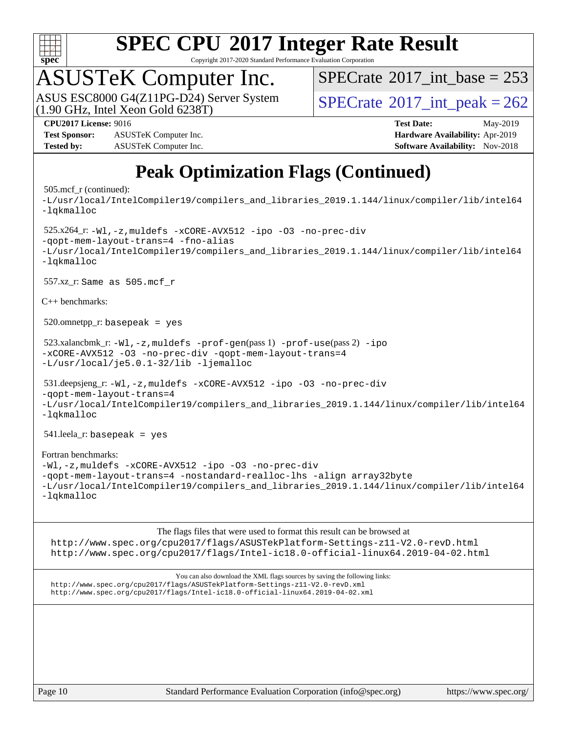

Copyright 2017-2020 Standard Performance Evaluation Corporation

# ASUSTeK Computer Inc.<br>ASUS ESC8000 G4(Z11PG-D24) Server System

(1.90 GHz, Intel Xeon Gold 6238T)

 $SPECTate$ <sup>®</sup>[2017\\_int\\_base =](http://www.spec.org/auto/cpu2017/Docs/result-fields.html#SPECrate2017intbase) 253

 $SPECTate@2017\_int\_peak = 262$ 

**[Test Sponsor:](http://www.spec.org/auto/cpu2017/Docs/result-fields.html#TestSponsor)** ASUSTeK Computer Inc. **[Hardware Availability:](http://www.spec.org/auto/cpu2017/Docs/result-fields.html#HardwareAvailability)** Apr-2019 **[Tested by:](http://www.spec.org/auto/cpu2017/Docs/result-fields.html#Testedby)** ASUSTeK Computer Inc. **[Software Availability:](http://www.spec.org/auto/cpu2017/Docs/result-fields.html#SoftwareAvailability)** Nov-2018

**[CPU2017 License:](http://www.spec.org/auto/cpu2017/Docs/result-fields.html#CPU2017License)** 9016 **[Test Date:](http://www.spec.org/auto/cpu2017/Docs/result-fields.html#TestDate)** May-2019

## **[Peak Optimization Flags \(Continued\)](http://www.spec.org/auto/cpu2017/Docs/result-fields.html#PeakOptimizationFlags)**

### 505.mcf\_r (continued):

[-L/usr/local/IntelCompiler19/compilers\\_and\\_libraries\\_2019.1.144/linux/compiler/lib/intel64](http://www.spec.org/cpu2017/results/res2019q2/cpu2017-20190610-14887.flags.html#user_peakEXTRA_LIBS505_mcf_r_qkmalloc_link_f25da0aa8cf9bced0533715046f0c2fbfb1a7191e3e496916672e09b4c388a884c4c7e4862cb529343da2264b43416df65c99fd1ddbf5dd13ae6d3130cf47881) [-lqkmalloc](http://www.spec.org/cpu2017/results/res2019q2/cpu2017-20190610-14887.flags.html#user_peakEXTRA_LIBS505_mcf_r_qkmalloc_link_lib_79a818439969f771c6bc311cfd333c00fc099dad35c030f5aab9dda831713d2015205805422f83de8875488a2991c0a156aaa600e1f9138f8fc37004abc96dc5) 525.x264\_r: [-Wl,-z,muldefs](http://www.spec.org/cpu2017/results/res2019q2/cpu2017-20190610-14887.flags.html#user_peakEXTRA_LDFLAGS525_x264_r_link_force_multiple1_b4cbdb97b34bdee9ceefcfe54f4c8ea74255f0b02a4b23e853cdb0e18eb4525ac79b5a88067c842dd0ee6996c24547a27a4b99331201badda8798ef8a743f577) [-xCORE-AVX512](http://www.spec.org/cpu2017/results/res2019q2/cpu2017-20190610-14887.flags.html#user_peakCOPTIMIZE525_x264_r_f-xCORE-AVX512) [-ipo](http://www.spec.org/cpu2017/results/res2019q2/cpu2017-20190610-14887.flags.html#user_peakCOPTIMIZE525_x264_r_f-ipo) [-O3](http://www.spec.org/cpu2017/results/res2019q2/cpu2017-20190610-14887.flags.html#user_peakCOPTIMIZE525_x264_r_f-O3) [-no-prec-div](http://www.spec.org/cpu2017/results/res2019q2/cpu2017-20190610-14887.flags.html#user_peakCOPTIMIZE525_x264_r_f-no-prec-div) [-qopt-mem-layout-trans=4](http://www.spec.org/cpu2017/results/res2019q2/cpu2017-20190610-14887.flags.html#user_peakCOPTIMIZE525_x264_r_f-qopt-mem-layout-trans_fa39e755916c150a61361b7846f310bcdf6f04e385ef281cadf3647acec3f0ae266d1a1d22d972a7087a248fd4e6ca390a3634700869573d231a252c784941a8) [-fno-alias](http://www.spec.org/cpu2017/results/res2019q2/cpu2017-20190610-14887.flags.html#user_peakEXTRA_OPTIMIZE525_x264_r_f-no-alias_77dbac10d91cbfe898fbf4a29d1b29b694089caa623bdd1baccc9957d4edbe8d106c0b357e2748a65b44fc9e83d78098bb898077f3fe92f9faf24f7bd4a07ed7) [-L/usr/local/IntelCompiler19/compilers\\_and\\_libraries\\_2019.1.144/linux/compiler/lib/intel64](http://www.spec.org/cpu2017/results/res2019q2/cpu2017-20190610-14887.flags.html#user_peakEXTRA_LIBS525_x264_r_qkmalloc_link_f25da0aa8cf9bced0533715046f0c2fbfb1a7191e3e496916672e09b4c388a884c4c7e4862cb529343da2264b43416df65c99fd1ddbf5dd13ae6d3130cf47881) [-lqkmalloc](http://www.spec.org/cpu2017/results/res2019q2/cpu2017-20190610-14887.flags.html#user_peakEXTRA_LIBS525_x264_r_qkmalloc_link_lib_79a818439969f771c6bc311cfd333c00fc099dad35c030f5aab9dda831713d2015205805422f83de8875488a2991c0a156aaa600e1f9138f8fc37004abc96dc5) 557.xz\_r: Same as 505.mcf\_r [C++ benchmarks:](http://www.spec.org/auto/cpu2017/Docs/result-fields.html#CXXbenchmarks)  $520.$ omnetpp\_r: basepeak = yes 523.xalancbmk\_r: [-Wl,-z,muldefs](http://www.spec.org/cpu2017/results/res2019q2/cpu2017-20190610-14887.flags.html#user_peakEXTRA_LDFLAGS523_xalancbmk_r_link_force_multiple1_b4cbdb97b34bdee9ceefcfe54f4c8ea74255f0b02a4b23e853cdb0e18eb4525ac79b5a88067c842dd0ee6996c24547a27a4b99331201badda8798ef8a743f577) [-prof-gen](http://www.spec.org/cpu2017/results/res2019q2/cpu2017-20190610-14887.flags.html#user_peakPASS1_CXXFLAGSPASS1_LDFLAGS523_xalancbmk_r_prof_gen_5aa4926d6013ddb2a31985c654b3eb18169fc0c6952a63635c234f711e6e63dd76e94ad52365559451ec499a2cdb89e4dc58ba4c67ef54ca681ffbe1461d6b36)(pass 1) [-prof-use](http://www.spec.org/cpu2017/results/res2019q2/cpu2017-20190610-14887.flags.html#user_peakPASS2_CXXFLAGSPASS2_LDFLAGS523_xalancbmk_r_prof_use_1a21ceae95f36a2b53c25747139a6c16ca95bd9def2a207b4f0849963b97e94f5260e30a0c64f4bb623698870e679ca08317ef8150905d41bd88c6f78df73f19)(pass 2) [-ipo](http://www.spec.org/cpu2017/results/res2019q2/cpu2017-20190610-14887.flags.html#user_peakPASS1_CXXOPTIMIZEPASS2_CXXOPTIMIZE523_xalancbmk_r_f-ipo) [-xCORE-AVX512](http://www.spec.org/cpu2017/results/res2019q2/cpu2017-20190610-14887.flags.html#user_peakPASS2_CXXOPTIMIZE523_xalancbmk_r_f-xCORE-AVX512) [-O3](http://www.spec.org/cpu2017/results/res2019q2/cpu2017-20190610-14887.flags.html#user_peakPASS1_CXXOPTIMIZEPASS2_CXXOPTIMIZE523_xalancbmk_r_f-O3) [-no-prec-div](http://www.spec.org/cpu2017/results/res2019q2/cpu2017-20190610-14887.flags.html#user_peakPASS1_CXXOPTIMIZEPASS2_CXXOPTIMIZE523_xalancbmk_r_f-no-prec-div) [-qopt-mem-layout-trans=4](http://www.spec.org/cpu2017/results/res2019q2/cpu2017-20190610-14887.flags.html#user_peakPASS1_CXXOPTIMIZEPASS2_CXXOPTIMIZE523_xalancbmk_r_f-qopt-mem-layout-trans_fa39e755916c150a61361b7846f310bcdf6f04e385ef281cadf3647acec3f0ae266d1a1d22d972a7087a248fd4e6ca390a3634700869573d231a252c784941a8) [-L/usr/local/je5.0.1-32/lib](http://www.spec.org/cpu2017/results/res2019q2/cpu2017-20190610-14887.flags.html#user_peakEXTRA_LIBS523_xalancbmk_r_jemalloc_link_path32_e29f22e8e6c17053bbc6a0971f5a9c01a601a06bb1a59df2084b77a2fe0a2995b64fd4256feaeea39eeba3aae142e96e2b2b0a28974019c0c0c88139a84f900a) [-ljemalloc](http://www.spec.org/cpu2017/results/res2019q2/cpu2017-20190610-14887.flags.html#user_peakEXTRA_LIBS523_xalancbmk_r_jemalloc_link_lib_d1249b907c500fa1c0672f44f562e3d0f79738ae9e3c4a9c376d49f265a04b9c99b167ecedbf6711b3085be911c67ff61f150a17b3472be731631ba4d0471706) 531.deepsjeng\_r: [-Wl,-z,muldefs](http://www.spec.org/cpu2017/results/res2019q2/cpu2017-20190610-14887.flags.html#user_peakEXTRA_LDFLAGS531_deepsjeng_r_link_force_multiple1_b4cbdb97b34bdee9ceefcfe54f4c8ea74255f0b02a4b23e853cdb0e18eb4525ac79b5a88067c842dd0ee6996c24547a27a4b99331201badda8798ef8a743f577) [-xCORE-AVX512](http://www.spec.org/cpu2017/results/res2019q2/cpu2017-20190610-14887.flags.html#user_peakCXXOPTIMIZE531_deepsjeng_r_f-xCORE-AVX512) [-ipo](http://www.spec.org/cpu2017/results/res2019q2/cpu2017-20190610-14887.flags.html#user_peakCXXOPTIMIZE531_deepsjeng_r_f-ipo) [-O3](http://www.spec.org/cpu2017/results/res2019q2/cpu2017-20190610-14887.flags.html#user_peakCXXOPTIMIZE531_deepsjeng_r_f-O3) [-no-prec-div](http://www.spec.org/cpu2017/results/res2019q2/cpu2017-20190610-14887.flags.html#user_peakCXXOPTIMIZE531_deepsjeng_r_f-no-prec-div) [-qopt-mem-layout-trans=4](http://www.spec.org/cpu2017/results/res2019q2/cpu2017-20190610-14887.flags.html#user_peakCXXOPTIMIZE531_deepsjeng_r_f-qopt-mem-layout-trans_fa39e755916c150a61361b7846f310bcdf6f04e385ef281cadf3647acec3f0ae266d1a1d22d972a7087a248fd4e6ca390a3634700869573d231a252c784941a8) [-L/usr/local/IntelCompiler19/compilers\\_and\\_libraries\\_2019.1.144/linux/compiler/lib/intel64](http://www.spec.org/cpu2017/results/res2019q2/cpu2017-20190610-14887.flags.html#user_peakEXTRA_LIBS531_deepsjeng_r_qkmalloc_link_f25da0aa8cf9bced0533715046f0c2fbfb1a7191e3e496916672e09b4c388a884c4c7e4862cb529343da2264b43416df65c99fd1ddbf5dd13ae6d3130cf47881) [-lqkmalloc](http://www.spec.org/cpu2017/results/res2019q2/cpu2017-20190610-14887.flags.html#user_peakEXTRA_LIBS531_deepsjeng_r_qkmalloc_link_lib_79a818439969f771c6bc311cfd333c00fc099dad35c030f5aab9dda831713d2015205805422f83de8875488a2991c0a156aaa600e1f9138f8fc37004abc96dc5) 541.leela\_r: basepeak = yes [Fortran benchmarks:](http://www.spec.org/auto/cpu2017/Docs/result-fields.html#Fortranbenchmarks) [-Wl,-z,muldefs](http://www.spec.org/cpu2017/results/res2019q2/cpu2017-20190610-14887.flags.html#user_FCpeak_link_force_multiple1_b4cbdb97b34bdee9ceefcfe54f4c8ea74255f0b02a4b23e853cdb0e18eb4525ac79b5a88067c842dd0ee6996c24547a27a4b99331201badda8798ef8a743f577) [-xCORE-AVX512](http://www.spec.org/cpu2017/results/res2019q2/cpu2017-20190610-14887.flags.html#user_FCpeak_f-xCORE-AVX512) [-ipo](http://www.spec.org/cpu2017/results/res2019q2/cpu2017-20190610-14887.flags.html#user_FCpeak_f-ipo) [-O3](http://www.spec.org/cpu2017/results/res2019q2/cpu2017-20190610-14887.flags.html#user_FCpeak_f-O3) [-no-prec-div](http://www.spec.org/cpu2017/results/res2019q2/cpu2017-20190610-14887.flags.html#user_FCpeak_f-no-prec-div) [-qopt-mem-layout-trans=4](http://www.spec.org/cpu2017/results/res2019q2/cpu2017-20190610-14887.flags.html#user_FCpeak_f-qopt-mem-layout-trans_fa39e755916c150a61361b7846f310bcdf6f04e385ef281cadf3647acec3f0ae266d1a1d22d972a7087a248fd4e6ca390a3634700869573d231a252c784941a8) [-nostandard-realloc-lhs](http://www.spec.org/cpu2017/results/res2019q2/cpu2017-20190610-14887.flags.html#user_FCpeak_f_2003_std_realloc_82b4557e90729c0f113870c07e44d33d6f5a304b4f63d4c15d2d0f1fab99f5daaed73bdb9275d9ae411527f28b936061aa8b9c8f2d63842963b95c9dd6426b8a) [-align array32byte](http://www.spec.org/cpu2017/results/res2019q2/cpu2017-20190610-14887.flags.html#user_FCpeak_align_array32byte_b982fe038af199962ba9a80c053b8342c548c85b40b8e86eb3cc33dee0d7986a4af373ac2d51c3f7cf710a18d62fdce2948f201cd044323541f22fc0fffc51b6) [-L/usr/local/IntelCompiler19/compilers\\_and\\_libraries\\_2019.1.144/linux/compiler/lib/intel64](http://www.spec.org/cpu2017/results/res2019q2/cpu2017-20190610-14887.flags.html#user_FCpeak_qkmalloc_link_f25da0aa8cf9bced0533715046f0c2fbfb1a7191e3e496916672e09b4c388a884c4c7e4862cb529343da2264b43416df65c99fd1ddbf5dd13ae6d3130cf47881) [-lqkmalloc](http://www.spec.org/cpu2017/results/res2019q2/cpu2017-20190610-14887.flags.html#user_FCpeak_qkmalloc_link_lib_79a818439969f771c6bc311cfd333c00fc099dad35c030f5aab9dda831713d2015205805422f83de8875488a2991c0a156aaa600e1f9138f8fc37004abc96dc5)

### [The flags files that were used to format this result can be browsed at](tmsearch)

<http://www.spec.org/cpu2017/flags/ASUSTekPlatform-Settings-z11-V2.0-revD.html> <http://www.spec.org/cpu2017/flags/Intel-ic18.0-official-linux64.2019-04-02.html>

[You can also download the XML flags sources by saving the following links:](tmsearch) <http://www.spec.org/cpu2017/flags/ASUSTekPlatform-Settings-z11-V2.0-revD.xml> <http://www.spec.org/cpu2017/flags/Intel-ic18.0-official-linux64.2019-04-02.xml>